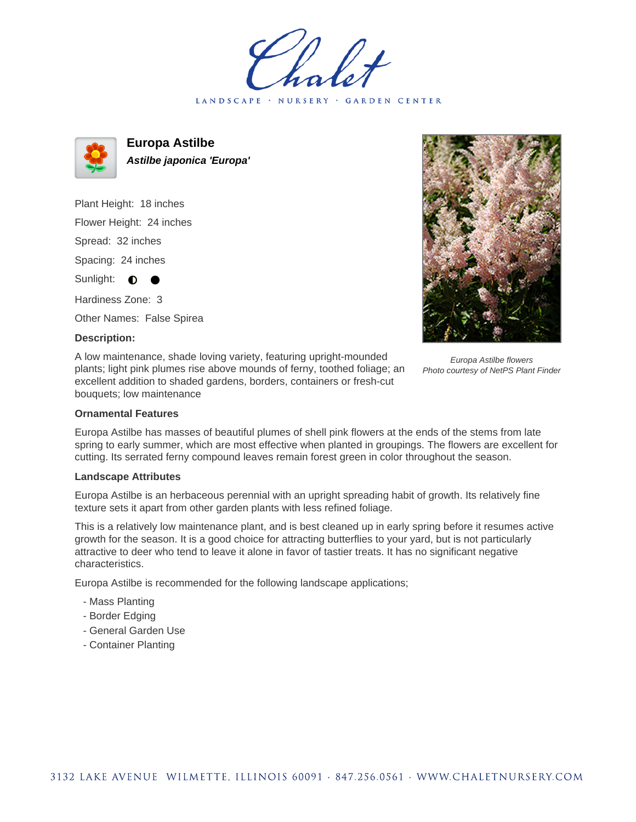LANDSCAPE · NURSERY · GARDEN CENTER



**Europa Astilbe Astilbe japonica 'Europa'**

Plant Height: 18 inches Flower Height: 24 inches Spread: 32 inches Spacing: 24 inches Sunlight:  $\bullet$ 

Hardiness Zone: 3

Other Names: False Spirea

## **Description:**

A low maintenance, shade loving variety, featuring upright-mounded plants; light pink plumes rise above mounds of ferny, toothed foliage; an excellent addition to shaded gardens, borders, containers or fresh-cut bouquets; low maintenance



Europa Astilbe flowers Photo courtesy of NetPS Plant Finder

## **Ornamental Features**

Europa Astilbe has masses of beautiful plumes of shell pink flowers at the ends of the stems from late spring to early summer, which are most effective when planted in groupings. The flowers are excellent for cutting. Its serrated ferny compound leaves remain forest green in color throughout the season.

## **Landscape Attributes**

Europa Astilbe is an herbaceous perennial with an upright spreading habit of growth. Its relatively fine texture sets it apart from other garden plants with less refined foliage.

This is a relatively low maintenance plant, and is best cleaned up in early spring before it resumes active growth for the season. It is a good choice for attracting butterflies to your yard, but is not particularly attractive to deer who tend to leave it alone in favor of tastier treats. It has no significant negative characteristics.

Europa Astilbe is recommended for the following landscape applications;

- Mass Planting
- Border Edging
- General Garden Use
- Container Planting